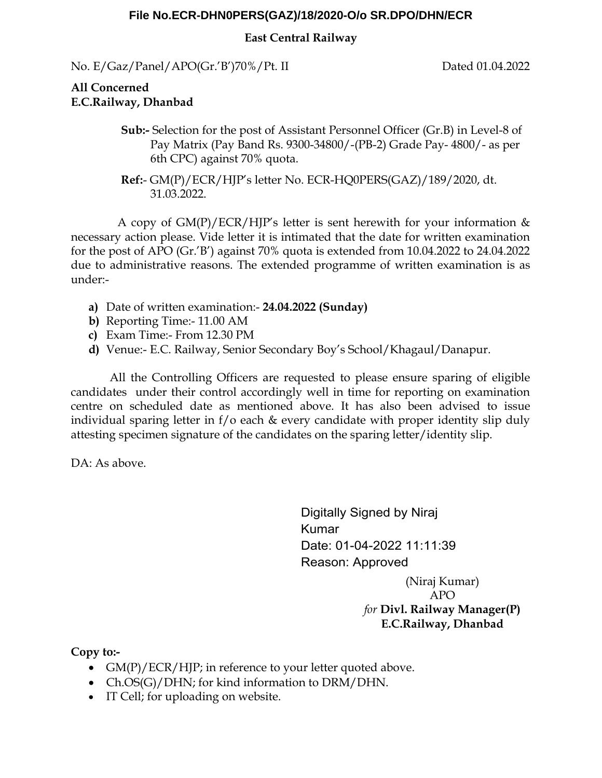## **File No.ECR-DHN0PERS(GAZ)/18/2020-O/o SR.DPO/DHN/ECR**

## **East Central Railway**

No. E/Gaz/Panel/APO(Gr.'B')70%/Pt. II Dated 01.04.2022

## **All Concerned E.C.Railway, Dhanbad**

- **Sub:-** Selection for the post of Assistant Personnel Officer (Gr.B) in Level-8 of Pay Matrix (Pay Band Rs. 9300-34800/-(PB-2) Grade Pay- 4800/- as per 6th CPC) against 70% quota.
- **Ref:** GM(P)/ECR/HJP's letter No. ECR-HQ0PERS(GAZ)/189/2020, dt. 31.03.2022.

 A copy of GM(P)/ECR/HJP's letter is sent herewith for your information & necessary action please. Vide letter it is intimated that the date for written examination for the post of APO (Gr.'B') against 70% quota is extended from 10.04.2022 to 24.04.2022 due to administrative reasons. The extended programme of written examination is as under:-

- **a)** Date of written examination:- **24.04.2022 (Sunday)**
- **b)** Reporting Time:- 11.00 AM
- **c)** Exam Time:- From 12.30 PM
- **d)** Venue:- E.C. Railway, Senior Secondary Boy's School/Khagaul/Danapur.

 All the Controlling Officers are requested to please ensure sparing of eligible candidates under their control accordingly well in time for reporting on examination centre on scheduled date as mentioned above. It has also been advised to issue individual sparing letter in f/o each & every candidate with proper identity slip duly attesting specimen signature of the candidates on the sparing letter/identity slip.

DA: As above.

Digitally Signed by Niraj Kumar Date: 01-04-2022 11:11:39 Reason: Approved (Niraj Kumar)

APO *for* **Divl. Railway Manager(P) E.C.Railway, Dhanbad**

**Copy to:-** 

- $GM(P)/ECR/HIP$ ; in reference to your letter quoted above.
- Ch.OS(G)/DHN; for kind information to DRM/DHN.
- IT Cell; for uploading on website.